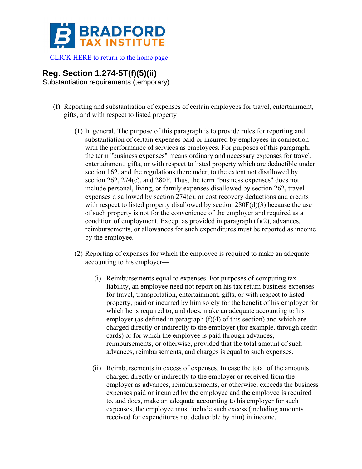

[CLICK HERE to return to the home page](http://www.bradfordtaxinstitute.com/) 

## **Reg. Section 1.274-5T(f)(5)(ii)**

Substantiation requirements (temporary)

- (f) Reporting and substantiation of expenses of certain employees for travel, entertainment, gifts, and with respect to listed property—
	- (1) In general. The purpose of this paragraph is to provide rules for reporting and substantiation of certain expenses paid or incurred by employees in connection with the performance of services as employees. For purposes of this paragraph, the term "business expenses" means ordinary and necessary expenses for travel, entertainment, gifts, or with respect to listed property which are deductible under section 162, and the regulations thereunder, to the extent not disallowed by section 262, 274(c), and 280F. Thus, the term "business expenses" does not include personal, living, or family expenses disallowed by section 262, travel expenses disallowed by section 274(c), or cost recovery deductions and credits with respect to listed property disallowed by section  $280F(d)(3)$  because the use of such property is not for the convenience of the employer and required as a condition of employment. Except as provided in paragraph (f)(2), advances, reimbursements, or allowances for such expenditures must be reported as income by the employee.
	- (2) Reporting of expenses for which the employee is required to make an adequate accounting to his employer—
		- (i) Reimbursements equal to expenses. For purposes of computing tax liability, an employee need not report on his tax return business expenses for travel, transportation, entertainment, gifts, or with respect to listed property, paid or incurred by him solely for the benefit of his employer for which he is required to, and does, make an adequate accounting to his employer (as defined in paragraph (f)(4) of this section) and which are charged directly or indirectly to the employer (for example, through credit cards) or for which the employee is paid through advances, reimbursements, or otherwise, provided that the total amount of such advances, reimbursements, and charges is equal to such expenses.
		- (ii) Reimbursements in excess of expenses. In case the total of the amounts charged directly or indirectly to the employer or received from the employer as advances, reimbursements, or otherwise, exceeds the business expenses paid or incurred by the employee and the employee is required to, and does, make an adequate accounting to his employer for such expenses, the employee must include such excess (including amounts received for expenditures not deductible by him) in income.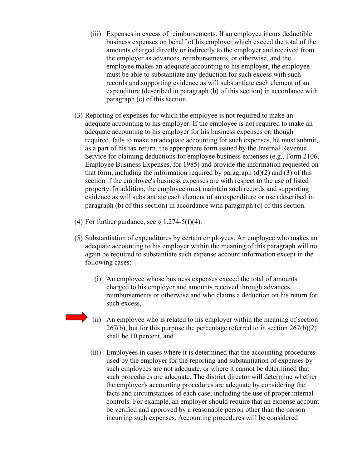- (iii) Expenses in excess of reimbursements. If an employee incurs deductible business expenses on behalf of his employer which exceed the total of the amounts charged directly or indirectly to the employer and received from the employer as advances, reimbursements, or otherwise, and the employee makes an adequate accounting to his employer, the employee must be able to substantiate any deduction for such excess with such records and supporting evidence as will substantiate each element of an expenditure (described in paragraph (b) of this section) in accordance with paragraph (c) of this section.
- (3) Reporting of expenses for which the employee is not required to make an adequate accounting to his employer. If the employee is not required to make an adequate accounting to his employer for his business expenses or, though required, fails to make an adequate accounting for such expenses, he must submit, as a part of his tax return, the appropriate form issued by the Internal Revenue Service for claiming deductions for employee business expenses (e.g., Form 2106, Employee Business Expenses, for 1985) and provide the information requested on that form, including the information required by paragraph  $(d)(2)$  and  $(3)$  of this section if the employee's business expenses are with respect to the use of listed property. In addition, the employee must maintain such records and supporting evidence as will substantiate each element of an expenditure or use (described in paragraph (b) of this section) in accordance with paragraph (c) of this section.
- (4) For further guidance, see  $\S 1.274-5(f)(4)$ .
- (5) Substantiation of expenditures by certain employees. An employee who makes an adequate accounting to his employer within the meaning of this paragraph will not again be required to substantiate such expense account information except in the following cases:
	- (i) An employee whose business expenses exceed the total of amounts charged to his employer and amounts received through advances, reimbursements or otherwise and who claims a deduction on his return for such excess,
	- (ii) An employee who is related to his employer within the meaning of section  $267(b)$ , but for this purpose the percentage referred to in section  $267(b)(2)$ shall be 10 percent, and
	- (iii) Employees in cases where it is determined that the accounting procedures used by the employer for the reporting and substantiation of expenses by such employees are not adequate, or where it cannot be determined that such procedures are adequate. The district director will determine whether the employer's accounting procedures are adequate by considering the facts and circumstances of each case, including the use of proper internal controls. For example, an employer should require that an expense account be verified and approved by a reasonable person other than the person incurring such expenses. Accounting procedures will be considered